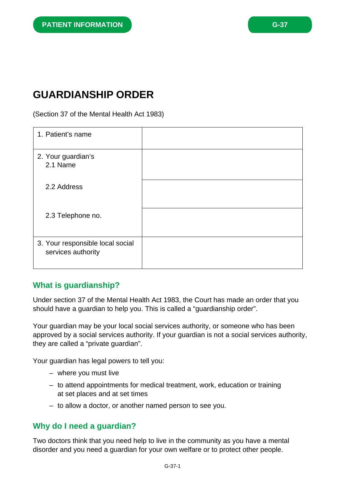# **GUARDIANSHIP ORDER**

(Section 37 of the Mental Health Act 1983)

| 1. Patient's name                                      |  |
|--------------------------------------------------------|--|
| 2. Your guardian's<br>2.1 Name                         |  |
| 2.2 Address                                            |  |
| 2.3 Telephone no.                                      |  |
| 3. Your responsible local social<br>services authority |  |

## **What is guardianship?**

Under section 37 of the Mental Health Act 1983, the Court has made an order that you should have a guardian to help you. This is called a "guardianship order".

Your guardian may be your local social services authority, or someone who has been approved by a social services authority. If your guardian is not a social services authority, they are called a "private guardian".

Your guardian has legal powers to tell you:

- where you must live
- to attend appointments for medical treatment, work, education or training at set places and at set times
- to allow a doctor, or another named person to see you.

## **Why do I need a guardian?**

Two doctors think that you need help to live in the community as you have a mental disorder and you need a guardian for your own welfare or to protect other people.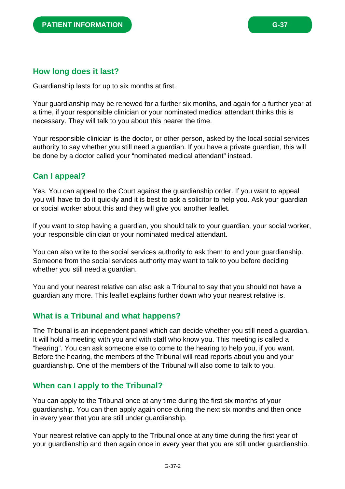### **How long does it last?**

Guardianship lasts for up to six months at first.

Your guardianship may be renewed for a further six months, and again for a further year at a time, if your responsible clinician or your nominated medical attendant thinks this is necessary. They will talk to you about this nearer the time.

Your responsible clinician is the doctor, or other person, asked by the local social services authority to say whether you still need a guardian. If you have a private guardian, this will be done by a doctor called your "nominated medical attendant" instead.

## **Can I appeal?**

Yes. You can appeal to the Court against the guardianship order. If you want to appeal you will have to do it quickly and it is best to ask a solicitor to help you. Ask your guardian or social worker about this and they will give you another leaflet.

If you want to stop having a guardian, you should talk to your guardian, your social worker, your responsible clinician or your nominated medical attendant.

You can also write to the social services authority to ask them to end your guardianship. Someone from the social services authority may want to talk to you before deciding whether you still need a guardian.

You and your nearest relative can also ask a Tribunal to say that you should not have a guardian any more. This leaflet explains further down who your nearest relative is.

## **What is a Tribunal and what happens?**

The Tribunal is an independent panel which can decide whether you still need a guardian. It will hold a meeting with you and with staff who know you. This meeting is called a "hearing". You can ask someone else to come to the hearing to help you, if you want. Before the hearing, the members of the Tribunal will read reports about you and your guardianship. One of the members of the Tribunal will also come to talk to you.

## **When can I apply to the Tribunal?**

You can apply to the Tribunal once at any time during the first six months of your guardianship. You can then apply again once during the next six months and then once in every year that you are still under guardianship.

Your nearest relative can apply to the Tribunal once at any time during the first year of your guardianship and then again once in every year that you are still under guardianship.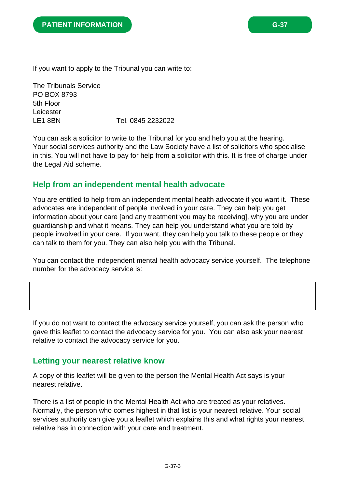If you want to apply to the Tribunal you can write to:

The Tribunals Service PO BOX 8793 5th Floor Leicester LE1 8BN Tel. 0845 2232022

You can ask a solicitor to write to the Tribunal for you and help you at the hearing. Your social services authority and the Law Society have a list of solicitors who specialise in this. You will not have to pay for help from a solicitor with this. It is free of charge under the Legal Aid scheme.

#### **Help from an independent mental health advocate**

You are entitled to help from an independent mental health advocate if you want it. These advocates are independent of people involved in your care. They can help you get information about your care [and any treatment you may be receiving], why you are under guardianship and what it means. They can help you understand what you are told by people involved in your care. If you want, they can help you talk to these people or they can talk to them for you. They can also help you with the Tribunal.

You can contact the independent mental health advocacy service yourself. The telephone number for the advocacy service is:

If you do not want to contact the advocacy service yourself, you can ask the person who gave this leaflet to contact the advocacy service for you. You can also ask your nearest relative to contact the advocacy service for you.

#### **Letting your nearest relative know**

A copy of this leaflet will be given to the person the Mental Health Act says is your nearest relative.

There is a list of people in the Mental Health Act who are treated as your relatives. Normally, the person who comes highest in that list is your nearest relative. Your social services authority can give you a leaflet which explains this and what rights your nearest relative has in connection with your care and treatment.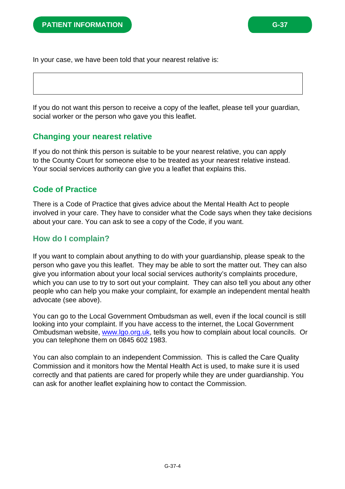In your case, we have been told that your nearest relative is:

If you do not want this person to receive a copy of the leaflet, please tell your guardian, social worker or the person who gave you this leaflet.

#### **Changing your nearest relative**

If you do not think this person is suitable to be your nearest relative, you can apply to the County Court for someone else to be treated as your nearest relative instead. Your social services authority can give you a leaflet that explains this.

## **Code of Practice**

There is a Code of Practice that gives advice about the Mental Health Act to people involved in your care. They have to consider what the Code says when they take decisions about your care. You can ask to see a copy of the Code, if you want.

## **How do I complain?**

If you want to complain about anything to do with your guardianship, please speak to the person who gave you this leaflet. They may be able to sort the matter out. They can also give you information about your local social services authority's complaints procedure, which you can use to try to sort out your complaint. They can also tell you about any other people who can help you make your complaint, for example an independent mental health advocate (see above).

You can go to the Local Government Ombudsman as well, even if the local council is still looking into your complaint. If you have access to the internet, the Local Government Ombudsman website, www.lgo.org.uk, tells you how to complain about local councils. Or you can telephone them on 0845 602 1983.

You can also complain to an independent Commission. This is called the Care Quality Commission and it monitors how the Mental Health Act is used, to make sure it is used correctly and that patients are cared for properly while they are under guardianship. You can ask for another leaflet explaining how to contact the Commission.